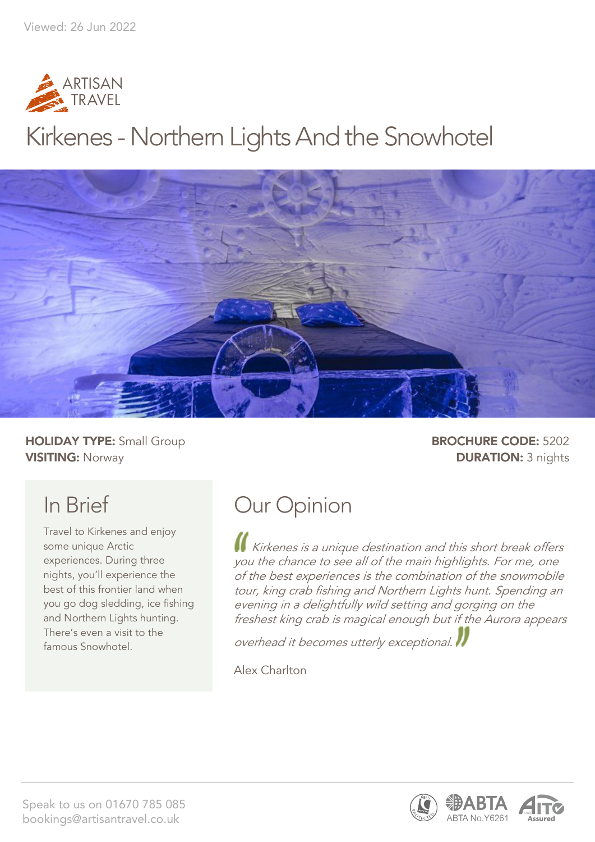

## Kirkenes - Northern Lights And the Snowhotel



**HOLIDAY TYPE:** Small Group **BROCHURE CODE:** 5202 **VISITING:** Norway **DURATION:** 3 nights

## In Brief

Travel to Kirkenes and enjoy some unique Arctic experiences. During three nights, you'll experience the best of this frontier land when you go dog sledding, ice fishing and Northern Lights hunting. There's even a visit to the famous Snowhotel.

## Our Opinion

Kirkenes is a unique destination and this short break offers you the chance to see all of the main highlights. For me, one of the best experiences is the combination of the snowmobile tour, king crab fishing and Northern Lights hunt. Spending an evening in a delightfully wild setting and gorging on the freshest king crab is magical enough but if the Aurora appears

overhead it becomes utterly exceptional.

Alex Charlton



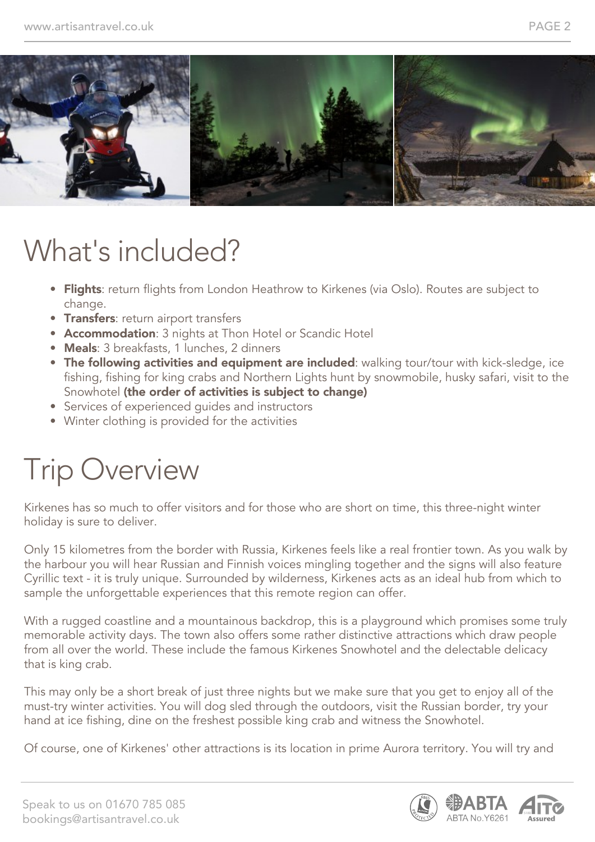

## What's included?

- Flights: return flights from London Heathrow to Kirkenes (via Oslo). Routes are subject to change.
- **Transfers:** return airport transfers
- Accommodation: 3 nights at Thon Hotel or Scandic Hotel
- Meals: 3 breakfasts, 1 lunches, 2 dinners
- The following activities and equipment are included: walking tour/tour with kick-sledge, ice fishing, fishing for king crabs and Northern Lights hunt by snowmobile, husky safari, visit to the Snowhotel (the order of activities is subject to change)
- Services of experienced guides and instructors
- Winter clothing is provided for the activities

## Trip Overview

Kirkenes has so much to offer visitors and for those who are short on time, this three-night winter holiday is sure to deliver.

Only 15 kilometres from the border with Russia, Kirkenes feels like a real frontier town. As you walk by the harbour you will hear Russian and Finnish voices mingling together and the signs will also feature Cyrillic text - it is truly unique. Surrounded by wilderness, Kirkenes acts as an ideal hub from which to sample the unforgettable experiences that this remote region can offer.

With a rugged coastline and a mountainous backdrop, this is a playground which promises some truly memorable activity days. The town also offers some rather distinctive attractions which draw people from all over the world. These include the famous Kirkenes Snowhotel and the delectable delicacy that is king crab.

This may only be a short break of just three nights but we make sure that you get to enjoy all of the must-try winter activities. You will dog sled through the outdoors, visit the Russian border, try your hand at ice fishing, dine on the freshest possible king crab and witness the Snowhotel.

Of course, one of Kirkenes' other attractions is its location in prime Aurora territory. You will try and



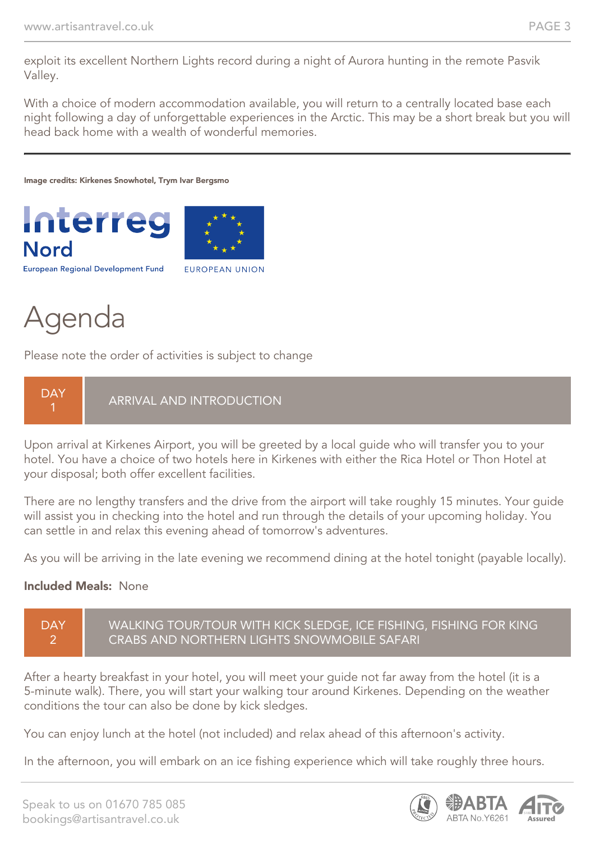exploit its excellent Northern Lights record during a night of Aurora hunting in the remote Pasvik Valley.

With a choice of modern accommodation available, you will return to a centrally located base each night following a day of unforgettable experiences in the Arctic. This may be a short break but you will head back home with a wealth of wonderful memories.

Image credits: Kirkenes Snowhotel, Trym Ivar Bergsmo





**European Regional Development Fund** 

**EUROPEAN UNION** 

## Agenda

Please note the order of activities is subject to change



Upon arrival at Kirkenes Airport, you will be greeted by a local guide who will transfer you to your hotel. You have a choice of two hotels here in Kirkenes with either the Rica Hotel or Thon Hotel at your disposal; both offer excellent facilities.

There are no lengthy transfers and the drive from the airport will take roughly 15 minutes. Your guide will assist you in checking into the hotel and run through the details of your upcoming holiday. You can settle in and relax this evening ahead of tomorrow's adventures.

As you will be arriving in the late evening we recommend dining at the hotel tonight (payable locally).

#### Included Meals: None



After a hearty breakfast in your hotel, you will meet your guide not far away from the hotel (it is a 5-minute walk). There, you will start your walking tour around Kirkenes. Depending on the weather conditions the tour can also be done by kick sledges.

You can enjoy lunch at the hotel (not included) and relax ahead of this afternoon's activity.

In the afternoon, you will embark on an ice fishing experience which will take roughly three hours.

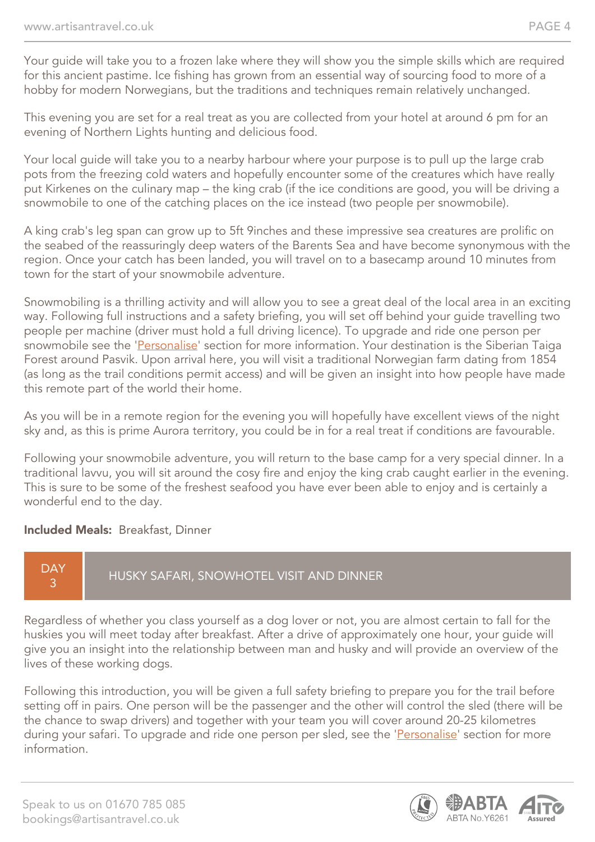Your guide will take you to a frozen lake where they will show you the simple skills which are required for this ancient pastime. Ice fishing has grown from an essential way of sourcing food to more of a hobby for modern Norwegians, but the traditions and techniques remain relatively unchanged.

This evening you are set for a real treat as you are collected from your hotel at around 6 pm for an evening of Northern Lights hunting and delicious food.

Your local guide will take you to a nearby harbour where your purpose is to pull up the large crab pots from the freezing cold waters and hopefully encounter some of the creatures which have really put Kirkenes on the culinary map – the king crab (if the ice conditions are good, you will be driving a snowmobile to one of the catching places on the ice instead (two people per snowmobile).

A king crab's leg span can grow up to 5ft 9inches and these impressive sea creatures are prolific on the seabed of the reassuringly deep waters of the Barents Sea and have become synonymous with the region. Once your catch has been landed, you will travel on to a basecamp around 10 minutes from town for the start of your snowmobile adventure.

Snowmobiling is a thrilling activity and will allow you to see a great deal of the local area in an exciting way. Following full instructions and a safety briefing, you will set off behind your guide travelling two people per machine (driver must hold a full driving licence). To upgrade and ride one person per snowmobile see the 'Personalise' section for more information. Your destination is the Siberian Taiga Forest around Pasvik. Upon arrival here, you will visit a traditional Norwegian farm dating from 1854 (as long as the trail conditions permit access) and will be given an insight into how people have made this remote part of the world their home.

As you will be in a remote region for the evening you will hopefully have excellent views of the night sky and, as this is prime Aurora territory, you could be in for a real treat if conditions are favourable.

Following your snowmobile adventure, you will return to the base camp for a very special dinner. In a traditional lavvu, you will sit around the cosy fire and enjoy the king crab caught earlier in the evening. This is sure to be some of the freshest seafood you have ever been able to enjoy and is certainly a wonderful end to the day.

#### Included Meals: Breakfast, Dinner

#### **DAY** 3 HUSKY SAFARI, SNOWHOTEL VISIT AND DINNER

Regardless of whether you class yourself as a dog lover or not, you are almost certain to fall for the huskies you will meet today after breakfast. After a drive of approximately one hour, your guide will give you an insight into the relationship between man and husky and will provide an overview of the lives of these working dogs.

Following this introduction, you will be given a full safety briefing to prepare you for the trail before setting off in pairs. One person will be the passenger and the other will control the sled (there will be the chance to swap drivers) and together with your team you will cover around 20-25 kilometres during your safari. To upgrade and ride one person per sled, see the 'Personalise' section for more information.

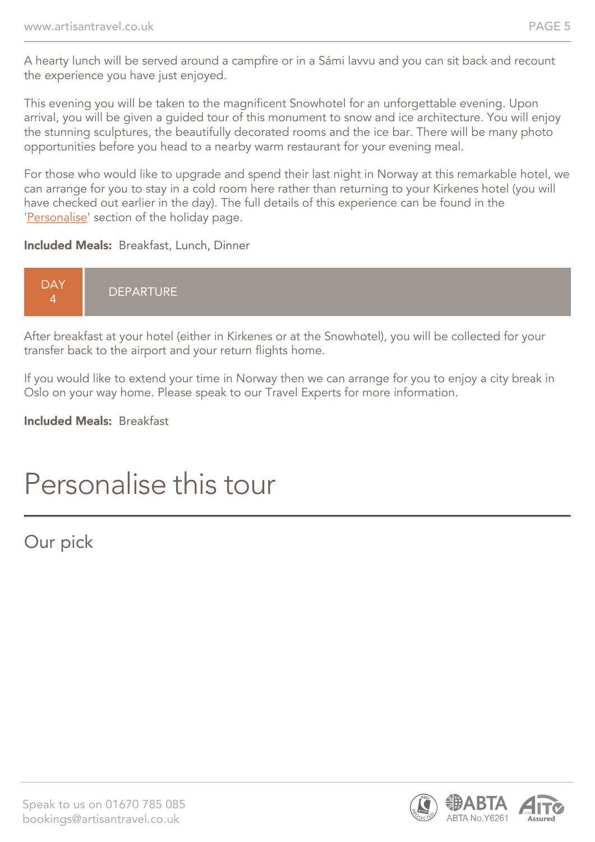A hearty lunch will be served around a campfire or in a Sámi lavvu and you can sit back and recount the experience you have just enjoyed.

This evening you will be taken to the magnificent Snowhotel for an unforgettable evening. Upon arrival, you will be given a guided tour of this monument to snow and ice architecture. You will enjoy the stunning sculptures, the beautifully decorated rooms and the ice bar. There will be many photo opportunities before you head to a nearby warm restaurant for your evening meal.

For those who would like to upgrade and spend their last night in Norway at this remarkable hotel, we can arrange for you to stay in a cold room here rather than returning to your Kirkenes hotel (you will have checked out earlier in the day). The full details of this experience can be found in the 'Personalise' section of the holiday page.

#### Included Meals: Breakfast, Lunch, Dinner



After breakfast at your hotel (either in Kirkenes or at the Snowhotel), you will be collected for your transfer back to the airport and your return flights home.

If you would like to extend your time in Norway then we can arrange for you to enjoy a city break in Oslo on your way home. Please speak to our Travel Experts for more information.

#### Included Meals: Breakfast

## Personalise this tour

### Our pick

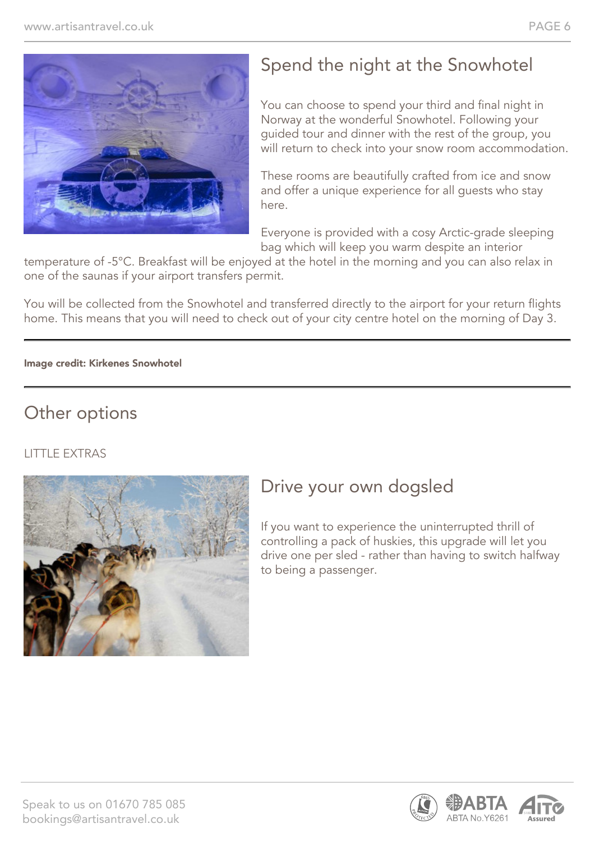

### Spend the night at the Snowhotel

You can choose to spend your third and final night in Norway at the wonderful Snowhotel. Following your guided tour and dinner with the rest of the group, you will return to check into your snow room accommodation.

These rooms are beautifully crafted from ice and snow and offer a unique experience for all guests who stay here.

Everyone is provided with a cosy Arctic-grade sleeping bag which will keep you warm despite an interior

temperature of -5°C. Breakfast will be enjoyed at the hotel in the morning and you can also relax in one of the saunas if your airport transfers permit.

You will be collected from the Snowhotel and transferred directly to the airport for your return flights home. This means that you will need to check out of your city centre hotel on the morning of Day 3.

#### Image credit: Kirkenes Snowhotel

#### Other options

#### LITTLE EXTRAS



#### Drive your own dogsled

If you want to experience the uninterrupted thrill of controlling a pack of huskies, this upgrade will let you drive one per sled - rather than having to switch halfway to being a passenger.

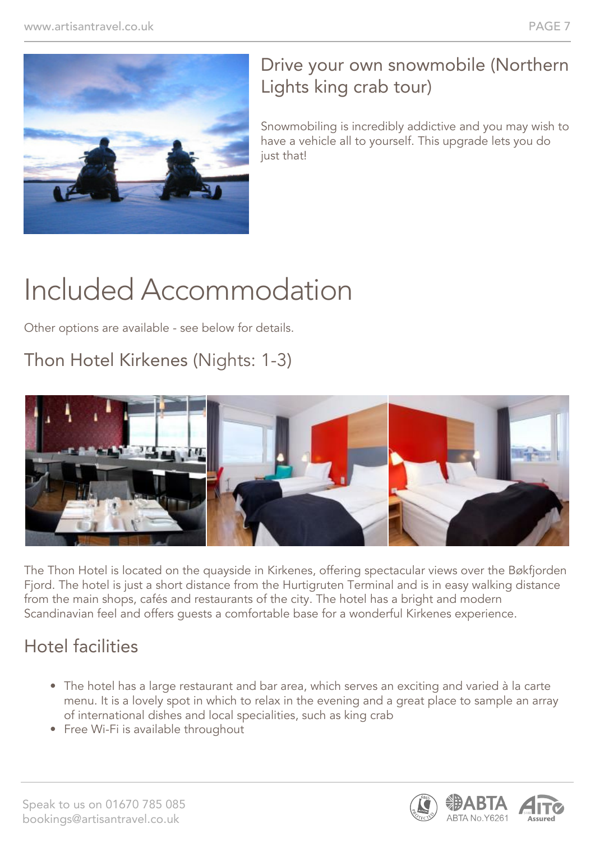

#### Drive your own snowmobile (Northern Lights king crab tour)

Snowmobiling is incredibly addictive and you may wish to have a vehicle all to yourself. This upgrade lets you do just that!

# Included Accommodation

Other options are available - see below for details.

### Thon Hotel Kirkenes (Nights: 1-3)



The Thon Hotel is located on the quayside in Kirkenes, offering spectacular views over the Bøkfjorden Fjord. The hotel is just a short distance from the Hurtigruten Terminal and is in easy walking distance from the main shops, cafés and restaurants of the city. The hotel has a bright and modern Scandinavian feel and offers guests a comfortable base for a wonderful Kirkenes experience.

### Hotel facilities

- The hotel has a large restaurant and bar area, which serves an exciting and varied à la carte menu. It is a lovely spot in which to relax in the evening and a great place to sample an array of international dishes and local specialities, such as king crab
- Free Wi-Fi is available throughout

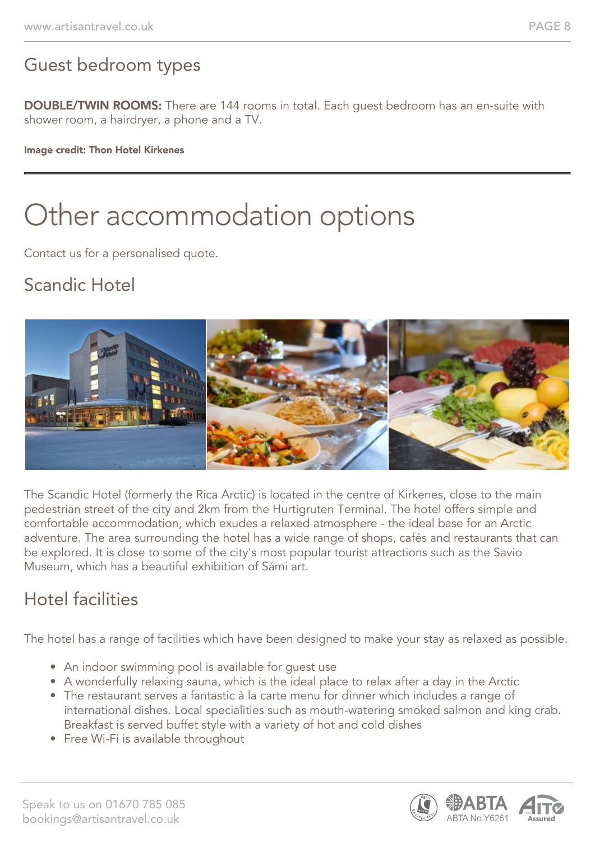### Guest bedroom types

DOUBLE/TWIN ROOMS: There are 144 rooms in total. Each guest bedroom has an en-suite with shower room, a hairdryer, a phone and a TV.

#### Image credit: Thon Hotel Kirkenes

# Other accommodation options

Contact us for a personalised quote.

### Scandic Hotel



The Scandic Hotel (formerly the Rica Arctic) is located in the centre of Kirkenes, close to the main pedestrian street of the city and 2km from the Hurtigruten Terminal. The hotel offers simple and comfortable accommodation, which exudes a relaxed atmosphere - the ideal base for an Arctic adventure. The area surrounding the hotel has a wide range of shops, cafés and restaurants that can be explored. It is close to some of the city's most popular tourist attractions such as the Savio Museum, which has a beautiful exhibition of Sámi art.

### Hotel facilities

The hotel has a range of facilities which have been designed to make your stay as relaxed as possible.

- An indoor swimming pool is available for guest use
- A wonderfully relaxing sauna, which is the ideal place to relax after a day in the Arctic
- The restaurant serves a fantastic à la carte menu for dinner which includes a range of international dishes. Local specialities such as mouth-watering smoked salmon and king crab. Breakfast is served buffet style with a variety of hot and cold dishes
- Free Wi-Fi is available throughout

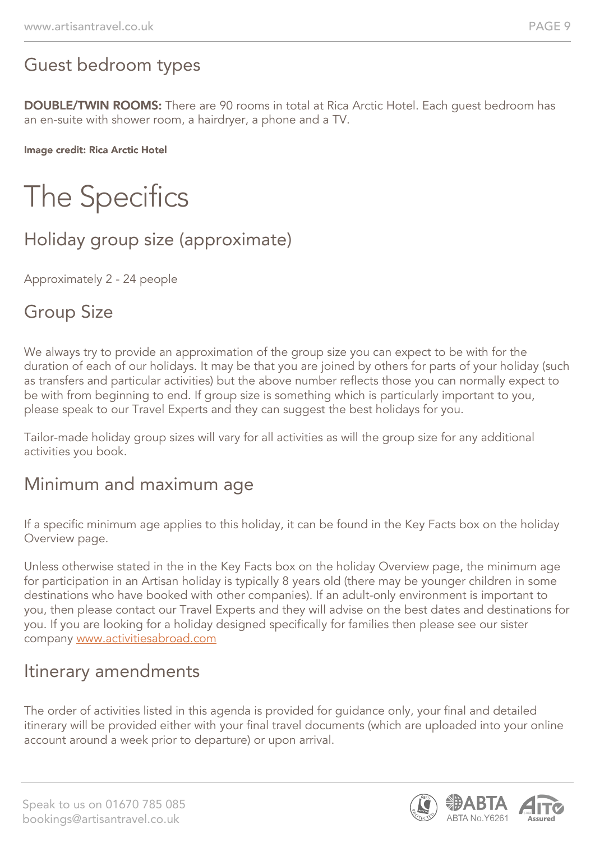### Guest bedroom types

DOUBLE/TWIN ROOMS: There are 90 rooms in total at Rica Arctic Hotel. Each guest bedroom has an en-suite with shower room, a hairdryer, a phone and a TV.

Image credit: Rica Arctic Hotel

# The Specifics

### Holiday group size (approximate)

Approximately 2 - 24 people

### Group Size

We always try to provide an approximation of the group size you can expect to be with for the duration of each of our holidays. It may be that you are joined by others for parts of your holiday (such as transfers and particular activities) but the above number reflects those you can normally expect to be with from beginning to end. If group size is something which is particularly important to you, please speak to our Travel Experts and they can suggest the best holidays for you.

Tailor-made holiday group sizes will vary for all activities as will the group size for any additional activities you book.

#### Minimum and maximum age

If a specific minimum age applies to this holiday, it can be found in the Key Facts box on the holiday Overview page.

Unless otherwise stated in the in the Key Facts box on the holiday Overview page, the minimum age for participation in an Artisan holiday is typically 8 years old (there may be younger children in some destinations who have booked with other companies). If an adult-only environment is important to you, then please contact our Travel Experts and they will advise on the best dates and destinations for you. If you are looking for a holiday designed specifically for families then please see our sister company [www.activitiesabroad.com](http://www.activitiesabroad.com/)

#### Itinerary amendments

The order of activities listed in this agenda is provided for guidance only, your final and detailed itinerary will be provided either with your final travel documents (which are uploaded into your online account around a week prior to departure) or upon arrival.